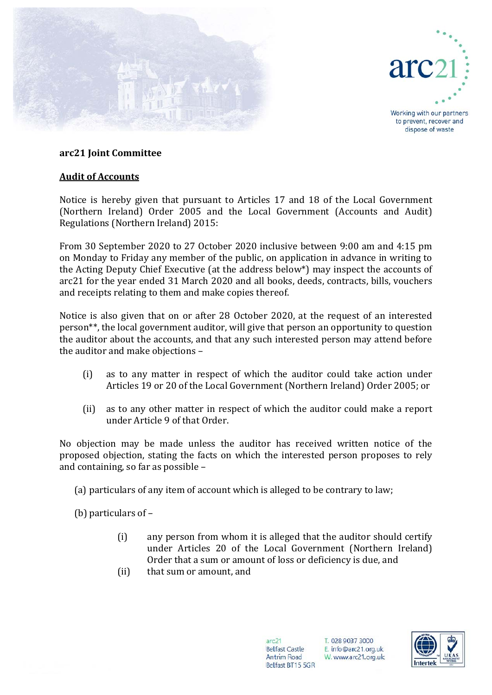



Working with our partners to prevent, recover and dispose of waste

## **arc21 Joint Committee**

## **Audit of Accounts**

Notice is hereby given that pursuant to Articles 17 and 18 of the Local Government (Northern Ireland) Order 2005 and the Local Government (Accounts and Audit) Regulations (Northern Ireland) 2015:

From 30 September 2020 to 27 October 2020 inclusive between 9:00 am and 4:15 pm on Monday to Friday any member of the public, on application in advance in writing to the Acting Deputy Chief Executive (at the address below\*) may inspect the accounts of arc21 for the year ended 31 March 2020 and all books, deeds, contracts, bills, vouchers and receipts relating to them and make copies thereof.

Notice is also given that on or after 28 October 2020, at the request of an interested person\*\*, the local government auditor, will give that person an opportunity to question the auditor about the accounts, and that any such interested person may attend before the auditor and make objections –

- (i) as to any matter in respect of which the auditor could take action under Articles 19 or 20 of the Local Government (Northern Ireland) Order 2005; or
- (ii) as to any other matter in respect of which the auditor could make a report under Article 9 of that Order.

No objection may be made unless the auditor has received written notice of the proposed objection, stating the facts on which the interested person proposes to rely and containing, so far as possible –

(a) particulars of any item of account which is alleged to be contrary to law;

(b) particulars of –

- (i) any person from whom it is alleged that the auditor should certify under Articles 20 of the Local Government (Northern Ireland) Order that a sum or amount of loss or deficiency is due, and
- (ii) that sum or amount, and

 $arc21$ **Belfast Castle** Antrim Road Belfast BT15 5GR

T. 028 9037 3000 E. info@arc21.org.uk W. www.arc21.org.uk